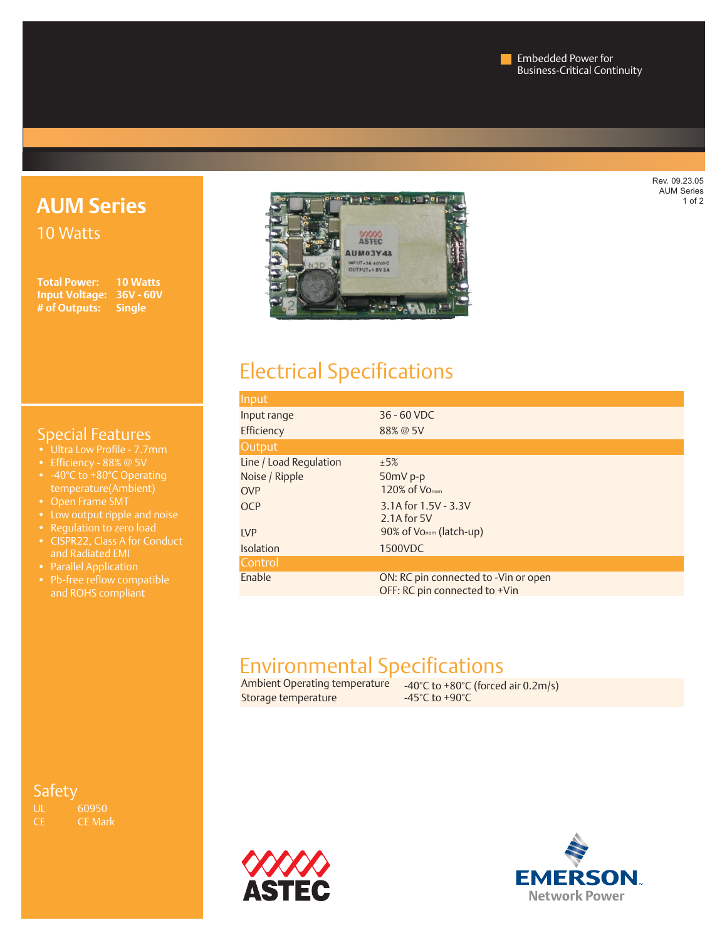**AUM Series** 10 Watts

**Input Voltage: 36V - 60V # of Outputs: Single**

**Total Power: 10 Watts**

# **COOO AUM03Y48** INPUT+38-60VDC<br>OUTPUT+1.8V3A

## Electrical Specifications

| Input                  |                                      |
|------------------------|--------------------------------------|
| Input range            | 36 - 60 VDC                          |
| Efficiency             | 88% @ 5V                             |
| Output                 |                                      |
| Line / Load Regulation | ±5%                                  |
| Noise / Ripple         | $50mV$ p-p                           |
| <b>OVP</b>             | 120% of Vo <sub>nom</sub>            |
| <b>OCP</b>             | 3.1A for 1.5V - 3.3V                 |
|                        | $2.1A$ for 5V                        |
| <b>LVP</b>             | 90% of Vo <sub>nom</sub> (latch-up)  |
| <b>Isolation</b>       | 1500VDC                              |
| Control                |                                      |
| Enable                 | ON: RC pin connected to -Vin or open |
|                        | OFF: RC pin connected to +Vin        |

## Environmental Specifications

Storage temperature

Ambient Operating temperature  $\left( \begin{array}{cc} -40^{\circ}C \text{ to } +80^{\circ}C \text{ (forced air } 0.2 \text{ m/s}) \\ -45^{\circ}C \text{ to } +90^{\circ}C \end{array} \right)$ 





### Special Features

- 
- 
- -40°C to +80°C Operating temperature(Ambient)
- 
- Low output ripple and noise
- 
- and Radiated EMI
- Parallel Application
- and ROHS compliant

### **Safety**

UL 60950<br>CE CE Mar CE Mark Rev. 09.23.05 AUM Series 1 of 2